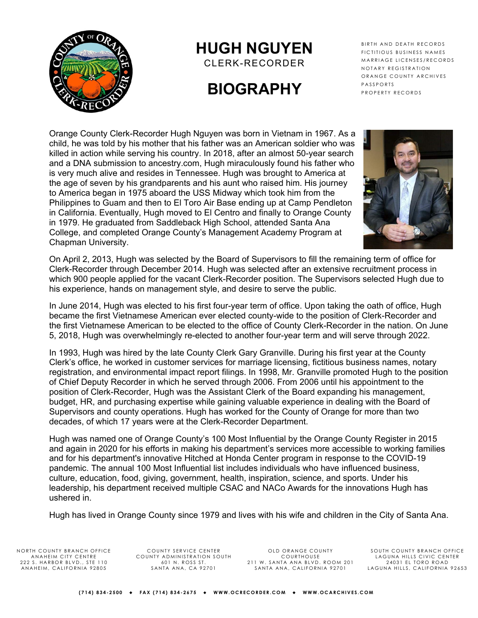

## **HUGH NGUYEN**

CLERK-RECORDER

# **BIOGRAPHY**

BIRTH AND DEATH RECORDS FICTITIOUS BUSINESS NAMES MARRIAGE LICENSES/RECORDS NOTARY REGISTRATION ORANGE COUNTY ARCHIVES PASSPORTS PROPERTY RECORDS

Orange County Clerk-Recorder Hugh Nguyen was born in Vietnam in 1967. As a child, he was told by his mother that his father was an American soldier who was killed in action while serving his country. In 2018, after an almost 50-year search and a DNA submission to ancestry.com, Hugh miraculously found his father who is very much alive and resides in Tennessee. Hugh was brought to America at the age of seven by his grandparents and his aunt who raised him. His journey to America began in 1975 aboard the USS Midway which took him from the Philippines to Guam and then to El Toro Air Base ending up at Camp Pendleton in California. Eventually, Hugh moved to El Centro and finally to Orange County in 1979. He graduated from Saddleback High School, attended Santa Ana College, and completed Orange County's Management Academy Program at Chapman University.



On April 2, 2013, Hugh was selected by the Board of Supervisors to fill the remaining term of office for Clerk-Recorder through December 2014. Hugh was selected after an extensive recruitment process in which 900 people applied for the vacant Clerk-Recorder position. The Supervisors selected Hugh due to his experience, hands on management style, and desire to serve the public.

In June 2014, Hugh was elected to his first four-year term of office. Upon taking the oath of office, Hugh became the first Vietnamese American ever elected county-wide to the position of Clerk-Recorder and the first Vietnamese American to be elected to the office of County Clerk-Recorder in the nation. On June 5, 2018, Hugh was overwhelmingly re-elected to another four-year term and will serve through 2022.

In 1993, Hugh was hired by the late County Clerk Gary Granville. During his first year at the County Clerk's office, he worked in customer services for marriage licensing, fictitious business names, notary registration, and environmental impact report filings. In 1998, Mr. Granville promoted Hugh to the position of Chief Deputy Recorder in which he served through 2006. From 2006 until his appointment to the position of Clerk-Recorder, Hugh was the Assistant Clerk of the Board expanding his management, budget, HR, and purchasing expertise while gaining valuable experience in dealing with the Board of Supervisors and county operations. Hugh has worked for the County of Orange for more than two decades, of which 17 years were at the Clerk-Recorder Department.

Hugh was named one of Orange County's 100 Most Influential by the Orange County Register in 2015 and again in 2020 for his efforts in making his department's services more accessible to working families and for his department's innovative Hitched at Honda Center program in response to the COVID-19 pandemic. The annual 100 Most Influential list includes individuals who have influenced business, culture, education, food, giving, government, health, inspiration, science, and sports. Under his leadership, his department received multiple CSAC and NACo Awards for the innovations Hugh has ushered in.

Hugh has lived in Orange County since 1979 and lives with his wife and children in the City of Santa Ana.

NORTH COUNTY BRANCH OFFICE ANAHEIM CITY CENTRE 222 S. HARBOR BLVD., STE 110 ANAHEIM, CALIFORNIA 92805

COUNTY SERVICE CENTER COUNTY ADMINISTRATION SOUTH 601 N. ROSS ST. SANTA ANA, CA 92701

OLD ORANGE COUNTY COURTHOUSE 211 W. SANTA ANA BLVD. ROOM 201 SANTA ANA, CALIFORNIA 92701

SOUTH COUNTY BRANCH OFFICE LAGUNA HILLS CIVIC CENTER 24031 EL TORO ROAD LAGUNA HILLS, CALIFORNIA 92653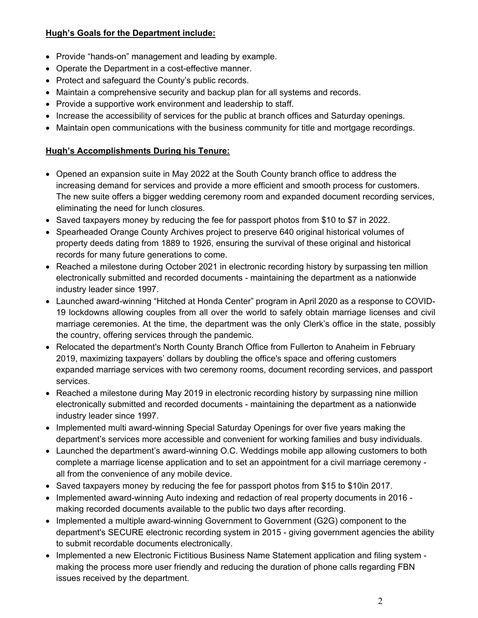#### **Hugh's Goals for the Department include:**

- Provide "hands-on" management and leading by example.
- Operate the Department in a cost-effective manner.
- Protect and safeguard the County's public records.
- Maintain a comprehensive security and backup plan for all systems and records.
- Provide a supportive work environment and leadership to staff.
- Increase the accessibility of services for the public at branch offices and Saturday openings.
- Maintain open communications with the business community for title and mortgage recordings.

### **Hugh's Accomplishments During his Tenure:**

- Opened an expansion suite in May 2022 at the South County branch office to address the increasing demand for services and provide a more efficient and smooth process for customers. The new suite offers a bigger wedding ceremony room and expanded document recording services, eliminating the need for lunch closures.
- Saved taxpayers money by reducing the fee for passport photos from \$10 to \$7 in 2022.
- Spearheaded Orange County Archives project to preserve 640 original historical volumes of property deeds dating from 1889 to 1926, ensuring the survival of these original and historical records for many future generations to come.
- Reached a milestone during October 2021 in electronic recording history by surpassing ten million electronically submitted and recorded documents - maintaining the department as a nationwide industry leader since 1997.
- Launched award-winning "Hitched at Honda Center" program in April 2020 as a response to COVID-19 lockdowns allowing couples from all over the world to safely obtain marriage licenses and civil marriage ceremonies. At the time, the department was the only Clerk's office in the state, possibly the country, offering services through the pandemic.
- Relocated the department's North County Branch Office from Fullerton to Anaheim in February 2019, maximizing taxpayers' dollars by doubling the office's space and offering customers expanded marriage services with two ceremony rooms, document recording services, and passport services.
- Reached a milestone during May 2019 in electronic recording history by surpassing nine million electronically submitted and recorded documents - maintaining the department as a nationwide industry leader since 1997.
- Implemented multi award-winning Special Saturday Openings for over five years making the department's services more accessible and convenient for working families and busy individuals.
- Launched the department's award-winning O.C. Weddings mobile app allowing customers to both complete a marriage license application and to set an appointment for a civil marriage ceremony all from the convenience of any mobile device.
- Saved taxpayers money by reducing the fee for passport photos from \$15 to \$10 in 2017.
- Implemented award-winning Auto indexing and redaction of real property documents in 2016 making recorded documents available to the public two days after recording.
- Implemented a multiple award-winning Government to Government (G2G) component to the department's SECURE electronic recording system in 2015 - giving government agencies the ability to submit recordable documents electronically.
- Implemented a new Electronic Fictitious Business Name Statement application and filing system making the process more user friendly and reducing the duration of phone calls regarding FBN issues received by the department.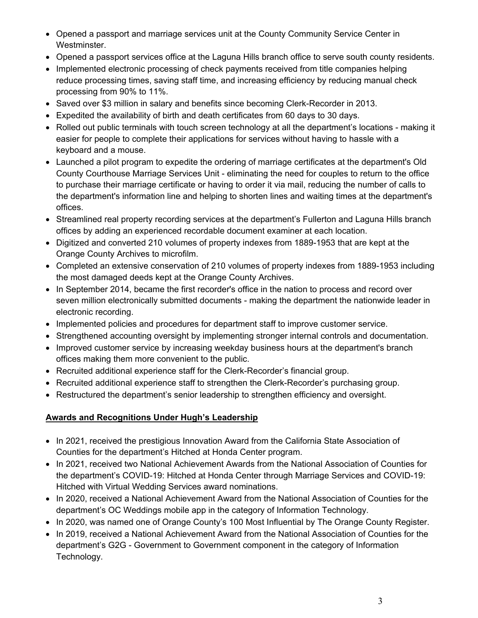- Opened a passport and marriage services unit at the County Community Service Center in Westminster.
- Opened a passport services office at the Laguna Hills branch office to serve south county residents.
- Implemented electronic processing of check payments received from title companies helping reduce processing times, saving staff time, and increasing efficiency by reducing manual check processing from 90% to 11%.
- Saved over \$3 million in salary and benefits since becoming Clerk-Recorder in 2013.
- Expedited the availability of birth and death certificates from 60 days to 30 days.
- Rolled out public terminals with touch screen technology at all the department's locations making it easier for people to complete their applications for services without having to hassle with a keyboard and a mouse.
- Launched a pilot program to expedite the ordering of marriage certificates at the department's Old County Courthouse Marriage Services Unit - eliminating the need for couples to return to the office to purchase their marriage certificate or having to order it via mail, reducing the number of calls to the department's information line and helping to shorten lines and waiting times at the department's offices.
- Streamlined real property recording services at the department's Fullerton and Laguna Hills branch offices by adding an experienced recordable document examiner at each location.
- Digitized and converted 210 volumes of property indexes from 1889-1953 that are kept at the Orange County Archives to microfilm.
- Completed an extensive conservation of 210 volumes of property indexes from 1889-1953 including the most damaged deeds kept at the Orange County Archives.
- In September 2014, became the first recorder's office in the nation to process and record over seven million electronically submitted documents - making the department the nationwide leader in electronic recording.
- Implemented policies and procedures for department staff to improve customer service.
- Strengthened accounting oversight by implementing stronger internal controls and documentation.
- Improved customer service by increasing weekday business hours at the department's branch offices making them more convenient to the public.
- Recruited additional experience staff for the Clerk-Recorder's financial group.
- Recruited additional experience staff to strengthen the Clerk-Recorder's purchasing group.
- Restructured the department's senior leadership to strengthen efficiency and oversight.

#### **Awards and Recognitions Under Hugh's Leadership**

- In 2021, received the prestigious Innovation Award from the California State Association of Counties for the department's Hitched at Honda Center program.
- In 2021, received two National Achievement Awards from the National Association of Counties for the department's COVID-19: Hitched at Honda Center through Marriage Services and COVID-19: Hitched with Virtual Wedding Services award nominations.
- In 2020, received a National Achievement Award from the National Association of Counties for the department's OC Weddings mobile app in the category of Information Technology.
- In 2020, was named one of Orange County's 100 Most Influential by The Orange County Register.
- In 2019, received a National Achievement Award from the National Association of Counties for the department's G2G - Government to Government component in the category of Information Technology.